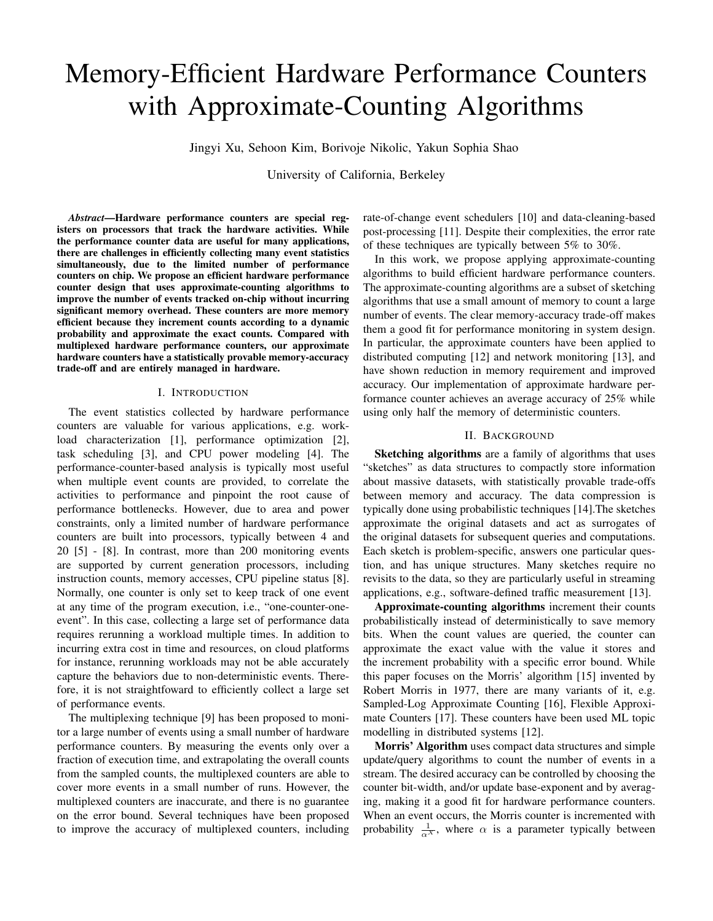# Memory-Efficient Hardware Performance Counters with Approximate-Counting Algorithms

Jingyi Xu, Sehoon Kim, Borivoje Nikolic, Yakun Sophia Shao

University of California, Berkeley

*Abstract*—Hardware performance counters are special registers on processors that track the hardware activities. While the performance counter data are useful for many applications, there are challenges in efficiently collecting many event statistics simultaneously, due to the limited number of performance counters on chip. We propose an efficient hardware performance counter design that uses approximate-counting algorithms to improve the number of events tracked on-chip without incurring significant memory overhead. These counters are more memory efficient because they increment counts according to a dynamic probability and approximate the exact counts. Compared with multiplexed hardware performance counters, our approximate hardware counters have a statistically provable memory-accuracy trade-off and are entirely managed in hardware.

#### I. INTRODUCTION

The event statistics collected by hardware performance counters are valuable for various applications, e.g. workload characterization [1], performance optimization [2], task scheduling [3], and CPU power modeling [4]. The performance-counter-based analysis is typically most useful when multiple event counts are provided, to correlate the activities to performance and pinpoint the root cause of performance bottlenecks. However, due to area and power constraints, only a limited number of hardware performance counters are built into processors, typically between 4 and 20 [5] - [8]. In contrast, more than 200 monitoring events are supported by current generation processors, including instruction counts, memory accesses, CPU pipeline status [8]. Normally, one counter is only set to keep track of one event at any time of the program execution, i.e., "one-counter-oneevent". In this case, collecting a large set of performance data requires rerunning a workload multiple times. In addition to incurring extra cost in time and resources, on cloud platforms for instance, rerunning workloads may not be able accurately capture the behaviors due to non-deterministic events. Therefore, it is not straightfoward to efficiently collect a large set of performance events.

The multiplexing technique [9] has been proposed to monitor a large number of events using a small number of hardware performance counters. By measuring the events only over a fraction of execution time, and extrapolating the overall counts from the sampled counts, the multiplexed counters are able to cover more events in a small number of runs. However, the multiplexed counters are inaccurate, and there is no guarantee on the error bound. Several techniques have been proposed to improve the accuracy of multiplexed counters, including rate-of-change event schedulers [10] and data-cleaning-based post-processing [11]. Despite their complexities, the error rate of these techniques are typically between 5% to 30%.

In this work, we propose applying approximate-counting algorithms to build efficient hardware performance counters. The approximate-counting algorithms are a subset of sketching algorithms that use a small amount of memory to count a large number of events. The clear memory-accuracy trade-off makes them a good fit for performance monitoring in system design. In particular, the approximate counters have been applied to distributed computing [12] and network monitoring [13], and have shown reduction in memory requirement and improved accuracy. Our implementation of approximate hardware performance counter achieves an average accuracy of 25% while using only half the memory of deterministic counters.

# II. BACKGROUND

Sketching algorithms are a family of algorithms that uses "sketches" as data structures to compactly store information about massive datasets, with statistically provable trade-offs between memory and accuracy. The data compression is typically done using probabilistic techniques [14].The sketches approximate the original datasets and act as surrogates of the original datasets for subsequent queries and computations. Each sketch is problem-specific, answers one particular question, and has unique structures. Many sketches require no revisits to the data, so they are particularly useful in streaming applications, e.g., software-defined traffic measurement [13].

Approximate-counting algorithms increment their counts probabilistically instead of deterministically to save memory bits. When the count values are queried, the counter can approximate the exact value with the value it stores and the increment probability with a specific error bound. While this paper focuses on the Morris' algorithm [15] invented by Robert Morris in 1977, there are many variants of it, e.g. Sampled-Log Approximate Counting [16], Flexible Approximate Counters [17]. These counters have been used ML topic modelling in distributed systems [12].

Morris' Algorithm uses compact data structures and simple update/query algorithms to count the number of events in a stream. The desired accuracy can be controlled by choosing the counter bit-width, and/or update base-exponent and by averaging, making it a good fit for hardware performance counters. When an event occurs, the Morris counter is incremented with probability  $\frac{1}{\alpha^X}$ , where  $\alpha$  is a parameter typically between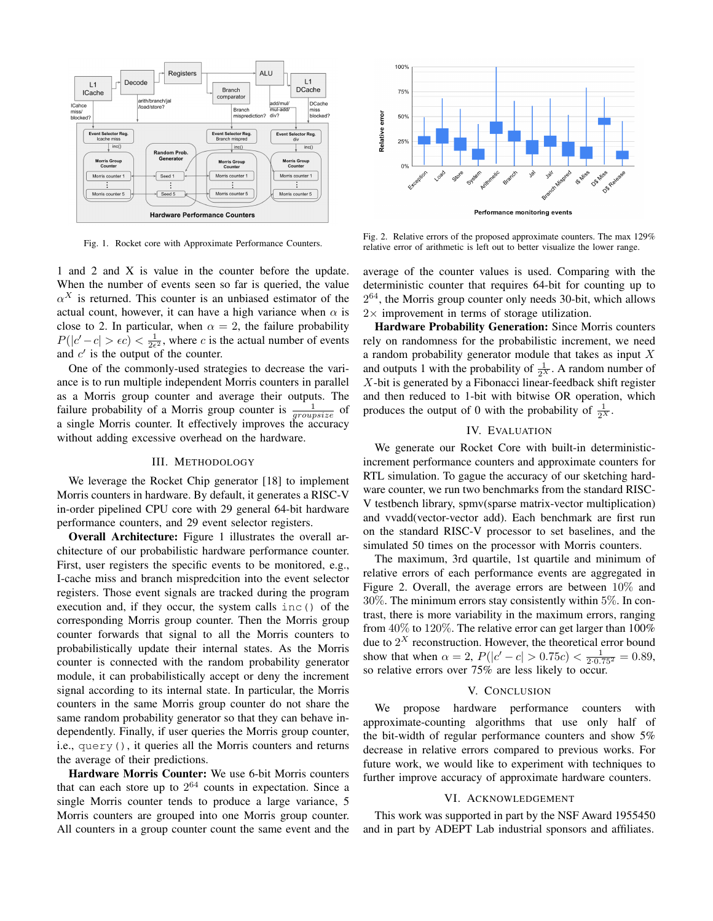

Fig. 1. Rocket core with Approximate Performance Counters.

1 and 2 and X is value in the counter before the update. When the number of events seen so far is queried, the value  $\alpha^X$  is returned. This counter is an unbiased estimator of the actual count, however, it can have a high variance when  $\alpha$  is close to 2. In particular, when  $\alpha = 2$ , the failure probability  $P(|c'-c| > \epsilon c) < \frac{1}{2\epsilon^2}$ , where c is the actual number of events and  $c'$  is the output of the counter.

One of the commonly-used strategies to decrease the variance is to run multiple independent Morris counters in parallel as a Morris group counter and average their outputs. The failure probability of a Morris group counter is  $\frac{1}{groupsize}$  of a single Morris counter. It effectively improves the accuracy without adding excessive overhead on the hardware.

### III. METHODOLOGY

We leverage the Rocket Chip generator [18] to implement Morris counters in hardware. By default, it generates a RISC-V in-order pipelined CPU core with 29 general 64-bit hardware performance counters, and 29 event selector registers.

Overall Architecture: Figure 1 illustrates the overall architecture of our probabilistic hardware performance counter. First, user registers the specific events to be monitored, e.g., I-cache miss and branch mispredcition into the event selector registers. Those event signals are tracked during the program execution and, if they occur, the system calls inc() of the corresponding Morris group counter. Then the Morris group counter forwards that signal to all the Morris counters to probabilistically update their internal states. As the Morris counter is connected with the random probability generator module, it can probabilistically accept or deny the increment signal according to its internal state. In particular, the Morris counters in the same Morris group counter do not share the same random probability generator so that they can behave independently. Finally, if user queries the Morris group counter, i.e., query(), it queries all the Morris counters and returns the average of their predictions.

Hardware Morris Counter: We use 6-bit Morris counters that can each store up to  $2^{64}$  counts in expectation. Since a single Morris counter tends to produce a large variance, 5 Morris counters are grouped into one Morris group counter. All counters in a group counter count the same event and the



Fig. 2. Relative errors of the proposed approximate counters. The max 129% relative error of arithmetic is left out to better visualize the lower range.

average of the counter values is used. Comparing with the deterministic counter that requires 64-bit for counting up to  $2^{64}$ , the Morris group counter only needs 30-bit, which allows  $2 \times$  improvement in terms of storage utilization.

Hardware Probability Generation: Since Morris counters rely on randomness for the probabilistic increment, we need a random probability generator module that takes as input X and outputs 1 with the probability of  $\frac{1}{2^X}$ . A random number of  $X$ -bit is generated by a Fibonacci linear-feedback shift register and then reduced to 1-bit with bitwise OR operation, which produces the output of 0 with the probability of  $\frac{1}{2^x}$ .

## IV. EVALUATION

We generate our Rocket Core with built-in deterministicincrement performance counters and approximate counters for RTL simulation. To gague the accuracy of our sketching hardware counter, we run two benchmarks from the standard RISC-V testbench library, spmv(sparse matrix-vector multiplication) and vvadd(vector-vector add). Each benchmark are first run on the standard RISC-V processor to set baselines, and the simulated 50 times on the processor with Morris counters.

The maximum, 3rd quartile, 1st quartile and minimum of relative errors of each performance events are aggregated in Figure 2. Overall, the average errors are between 10% and 30%. The minimum errors stay consistently within 5%. In contrast, there is more variability in the maximum errors, ranging from  $40\%$  to  $120\%$ . The relative error can get larger than  $100\%$ due to  $2^X$  reconstruction. However, the theoretical error bound show that when  $\alpha = 2$ ,  $P(|c' - c| > 0.75c) < \frac{1}{2 \cdot 0.75^2} = 0.89$ , so relative errors over 75% are less likely to occur.

### V. CONCLUSION

We propose hardware performance counters with approximate-counting algorithms that use only half of the bit-width of regular performance counters and show 5% decrease in relative errors compared to previous works. For future work, we would like to experiment with techniques to further improve accuracy of approximate hardware counters.

#### VI. ACKNOWLEDGEMENT

This work was supported in part by the NSF Award 1955450 and in part by ADEPT Lab industrial sponsors and affiliates.